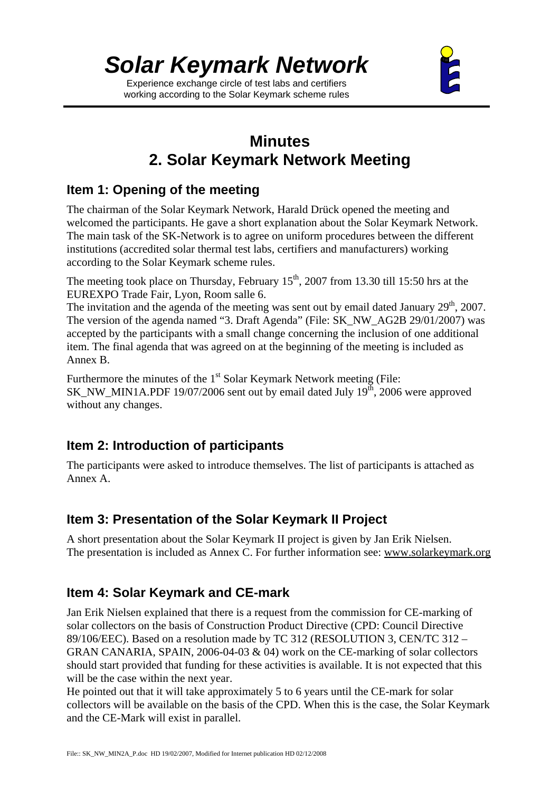Experience exchange circle of test labs and certifiers working according to the Solar Keymark scheme rules



# **Minutes 2. Solar Keymark Network Meeting**

# **Item 1: Opening of the meeting**

The chairman of the Solar Keymark Network, Harald Drück opened the meeting and welcomed the participants. He gave a short explanation about the Solar Keymark Network. The main task of the SK-Network is to agree on uniform procedures between the different institutions (accredited solar thermal test labs, certifiers and manufacturers) working according to the Solar Keymark scheme rules.

The meeting took place on Thursday, February  $15<sup>th</sup>$ , 2007 from 13.30 till 15:50 hrs at the EUREXPO Trade Fair, Lyon, Room salle 6.

The invitation and the agenda of the meeting was sent out by email dated January  $29<sup>th</sup>$ ,  $2007$ . The version of the agenda named "3. Draft Agenda" (File: SK\_NW\_AG2B 29/01/2007) was accepted by the participants with a small change concerning the inclusion of one additional item. The final agenda that was agreed on at the beginning of the meeting is included as Annex B.

Furthermore the minutes of the 1<sup>st</sup> Solar Keymark Network meeting (File:  $SK_NW_MIN1A.PDF 19/07/2006$  sent out by email dated July  $19<sup>th</sup>$ , 2006 were approved without any changes.

# **Item 2: Introduction of participants**

The participants were asked to introduce themselves. The list of participants is attached as Annex A.

# **Item 3: Presentation of the Solar Keymark II Project**

A short presentation about the Solar Keymark II project is given by Jan Erik Nielsen. The presentation is included as Annex C. For further information see: www.solarkeymark.org

# **Item 4: Solar Keymark and CE-mark**

Jan Erik Nielsen explained that there is a request from the commission for CE-marking of solar collectors on the basis of Construction Product Directive (CPD: Council Directive 89/106/EEC). Based on a resolution made by TC 312 (RESOLUTION 3, CEN/TC 312 – GRAN CANARIA, SPAIN, 2006-04-03 & 04) work on the CE-marking of solar collectors should start provided that funding for these activities is available. It is not expected that this will be the case within the next year.

He pointed out that it will take approximately 5 to 6 years until the CE-mark for solar collectors will be available on the basis of the CPD. When this is the case, the Solar Keymark and the CE-Mark will exist in parallel.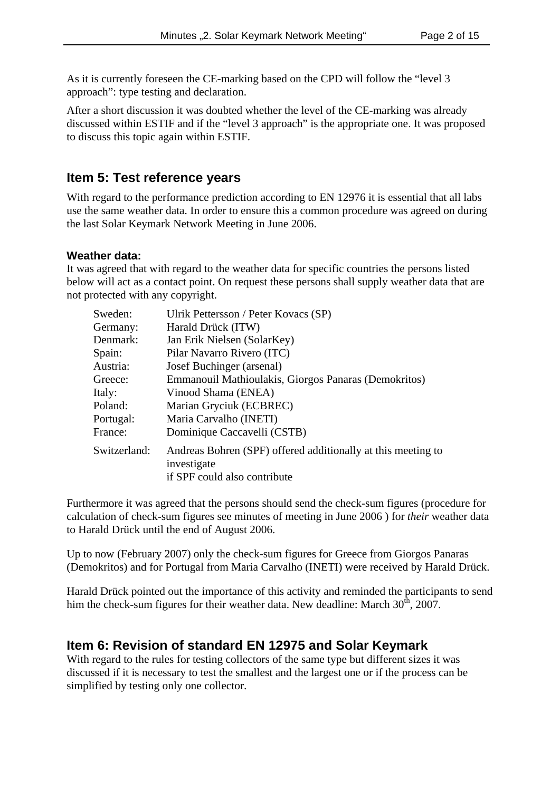As it is currently foreseen the CE-marking based on the CPD will follow the "level 3 approach": type testing and declaration.

After a short discussion it was doubted whether the level of the CE-marking was already discussed within ESTIF and if the "level 3 approach" is the appropriate one. It was proposed to discuss this topic again within ESTIF.

#### **Item 5: Test reference years**

With regard to the performance prediction according to EN 12976 it is essential that all labs use the same weather data. In order to ensure this a common procedure was agreed on during the last Solar Keymark Network Meeting in June 2006.

#### **Weather data:**

It was agreed that with regard to the weather data for specific countries the persons listed below will act as a contact point. On request these persons shall supply weather data that are not protected with any copyright.

| Sweden:      | Ulrik Pettersson / Peter Kovacs (SP)                                                                        |
|--------------|-------------------------------------------------------------------------------------------------------------|
| Germany:     | Harald Drück (ITW)                                                                                          |
| Denmark:     | Jan Erik Nielsen (SolarKey)                                                                                 |
| Spain:       | Pilar Navarro Rivero (ITC)                                                                                  |
| Austria:     | Josef Buchinger (arsenal)                                                                                   |
| Greece:      | Emmanouil Mathioulakis, Giorgos Panaras (Demokritos)                                                        |
| Italy:       | Vinood Shama (ENEA)                                                                                         |
| Poland:      | Marian Gryciuk (ECBREC)                                                                                     |
| Portugal:    | Maria Carvalho (INETI)                                                                                      |
| France:      | Dominique Caccavelli (CSTB)                                                                                 |
| Switzerland: | Andreas Bohren (SPF) offered additionally at this meeting to<br>investigate<br>if SPF could also contribute |

Furthermore it was agreed that the persons should send the check-sum figures (procedure for calculation of check-sum figures see minutes of meeting in June 2006 ) for *their* weather data to Harald Drück until the end of August 2006.

Up to now (February 2007) only the check-sum figures for Greece from Giorgos Panaras (Demokritos) and for Portugal from Maria Carvalho (INETI) were received by Harald Drück.

Harald Drück pointed out the importance of this activity and reminded the participants to send him the check-sum figures for their weather data. New deadline: March  $30<sup>th</sup>$ ,  $2007$ .

#### **Item 6: Revision of standard EN 12975 and Solar Keymark**

With regard to the rules for testing collectors of the same type but different sizes it was discussed if it is necessary to test the smallest and the largest one or if the process can be simplified by testing only one collector.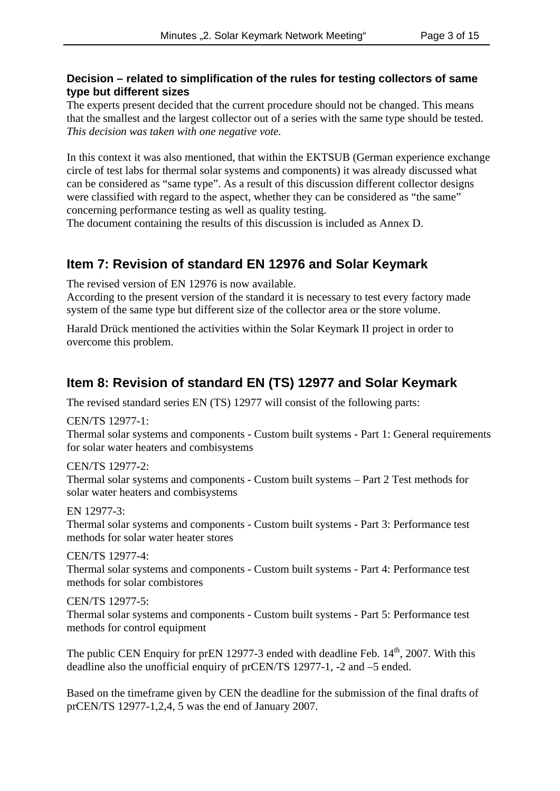#### **Decision – related to simplification of the rules for testing collectors of same type but different sizes**

The experts present decided that the current procedure should not be changed. This means that the smallest and the largest collector out of a series with the same type should be tested. *This decision was taken with one negative vote.*

In this context it was also mentioned, that within the EKTSUB (German experience exchange circle of test labs for thermal solar systems and components) it was already discussed what can be considered as "same type". As a result of this discussion different collector designs were classified with regard to the aspect, whether they can be considered as "the same" concerning performance testing as well as quality testing.

The document containing the results of this discussion is included as Annex D.

### **Item 7: Revision of standard EN 12976 and Solar Keymark**

The revised version of EN 12976 is now available.

According to the present version of the standard it is necessary to test every factory made system of the same type but different size of the collector area or the store volume.

Harald Drück mentioned the activities within the Solar Keymark II project in order to overcome this problem.

# **Item 8: Revision of standard EN (TS) 12977 and Solar Keymark**

The revised standard series EN (TS) 12977 will consist of the following parts:

CEN/TS 12977-1:

Thermal solar systems and components - Custom built systems - Part 1: General requirements for solar water heaters and combisystems

CEN/TS 12977-2: Thermal solar systems and components - Custom built systems – Part 2 Test methods for solar water heaters and combisystems

EN 12977-3: Thermal solar systems and components - Custom built systems - Part 3: Performance test methods for solar water heater stores

CEN/TS 12977-4: Thermal solar systems and components - Custom built systems - Part 4: Performance test methods for solar combistores

CEN/TS 12977-5:

Thermal solar systems and components - Custom built systems - Part 5: Performance test methods for control equipment

The public CEN Enquiry for prEN 12977-3 ended with deadline Feb.  $14<sup>th</sup>$ , 2007. With this deadline also the unofficial enquiry of prCEN/TS 12977-1, -2 and –5 ended.

Based on the timeframe given by CEN the deadline for the submission of the final drafts of prCEN/TS 12977-1,2,4, 5 was the end of January 2007.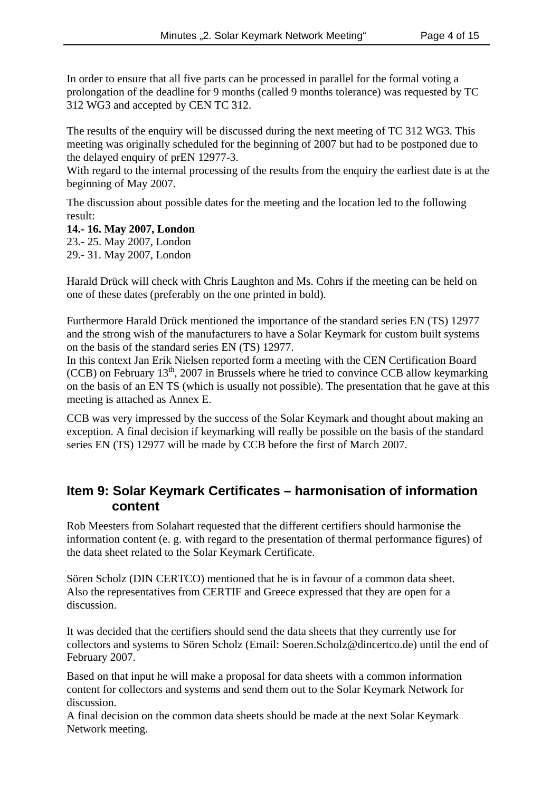In order to ensure that all five parts can be processed in parallel for the formal voting a prolongation of the deadline for 9 months (called 9 months tolerance) was requested by TC 312 WG3 and accepted by CEN TC 312.

The results of the enquiry will be discussed during the next meeting of TC 312 WG3. This meeting was originally scheduled for the beginning of 2007 but had to be postponed due to the delayed enquiry of prEN 12977-3.

With regard to the internal processing of the results from the enquiry the earliest date is at the beginning of May 2007.

The discussion about possible dates for the meeting and the location led to the following result:

**14.- 16. May 2007, London** 23.- 25. May 2007, London 29.- 31. May 2007, London

Harald Drück will check with Chris Laughton and Ms. Cohrs if the meeting can be held on one of these dates (preferably on the one printed in bold).

Furthermore Harald Drück mentioned the importance of the standard series EN (TS) 12977 and the strong wish of the manufacturers to have a Solar Keymark for custom built systems on the basis of the standard series EN (TS) 12977.

In this context Jan Erik Nielsen reported form a meeting with the CEN Certification Board (CCB) on February  $13<sup>th</sup>$ , 2007 in Brussels where he tried to convince CCB allow keymarking on the basis of an EN TS (which is usually not possible). The presentation that he gave at this meeting is attached as Annex E.

CCB was very impressed by the success of the Solar Keymark and thought about making an exception. A final decision if keymarking will really be possible on the basis of the standard series EN (TS) 12977 will be made by CCB before the first of March 2007.

### **Item 9: Solar Keymark Certificates – harmonisation of information content**

Rob Meesters from Solahart requested that the different certifiers should harmonise the information content (e. g. with regard to the presentation of thermal performance figures) of the data sheet related to the Solar Keymark Certificate.

Sören Scholz (DIN CERTCO) mentioned that he is in favour of a common data sheet. Also the representatives from CERTIF and Greece expressed that they are open for a discussion.

It was decided that the certifiers should send the data sheets that they currently use for collectors and systems to Sören Scholz (Email: Soeren.Scholz@dincertco.de) until the end of February 2007.

Based on that input he will make a proposal for data sheets with a common information content for collectors and systems and send them out to the Solar Keymark Network for discussion.

A final decision on the common data sheets should be made at the next Solar Keymark Network meeting.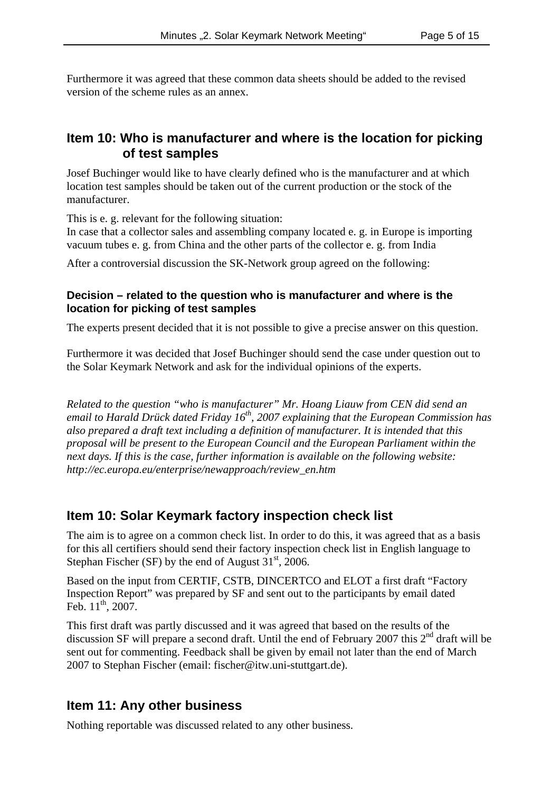Furthermore it was agreed that these common data sheets should be added to the revised version of the scheme rules as an annex.

#### **Item 10: Who is manufacturer and where is the location for picking of test samples**

Josef Buchinger would like to have clearly defined who is the manufacturer and at which location test samples should be taken out of the current production or the stock of the manufacturer.

This is e. g. relevant for the following situation:

In case that a collector sales and assembling company located e. g. in Europe is importing vacuum tubes e. g. from China and the other parts of the collector e. g. from India

After a controversial discussion the SK-Network group agreed on the following:

#### **Decision – related to the question who is manufacturer and where is the location for picking of test samples**

The experts present decided that it is not possible to give a precise answer on this question.

Furthermore it was decided that Josef Buchinger should send the case under question out to the Solar Keymark Network and ask for the individual opinions of the experts.

*Related to the question "who is manufacturer" Mr. Hoang Liauw from CEN did send an email to Harald Drück dated Friday 16th, 2007 explaining that the European Commission has also prepared a draft text including a definition of manufacturer. It is intended that this proposal will be present to the European Council and the European Parliament within the next days. If this is the case, further information is available on the following website: http://ec.europa.eu/enterprise/newapproach/review\_en.htm*

#### **Item 10: Solar Keymark factory inspection check list**

The aim is to agree on a common check list. In order to do this, it was agreed that as a basis for this all certifiers should send their factory inspection check list in English language to Stephan Fischer (SF) by the end of August  $31<sup>st</sup>$ , 2006.

Based on the input from CERTIF, CSTB, DINCERTCO and ELOT a first draft "Factory Inspection Report" was prepared by SF and sent out to the participants by email dated Feb.  $11^{th}$ , 2007.

This first draft was partly discussed and it was agreed that based on the results of the discussion SF will prepare a second draft. Until the end of February 2007 this 2<sup>nd</sup> draft will be sent out for commenting. Feedback shall be given by email not later than the end of March 2007 to Stephan Fischer (email: fischer@itw.uni-stuttgart.de).

#### **Item 11: Any other business**

Nothing reportable was discussed related to any other business.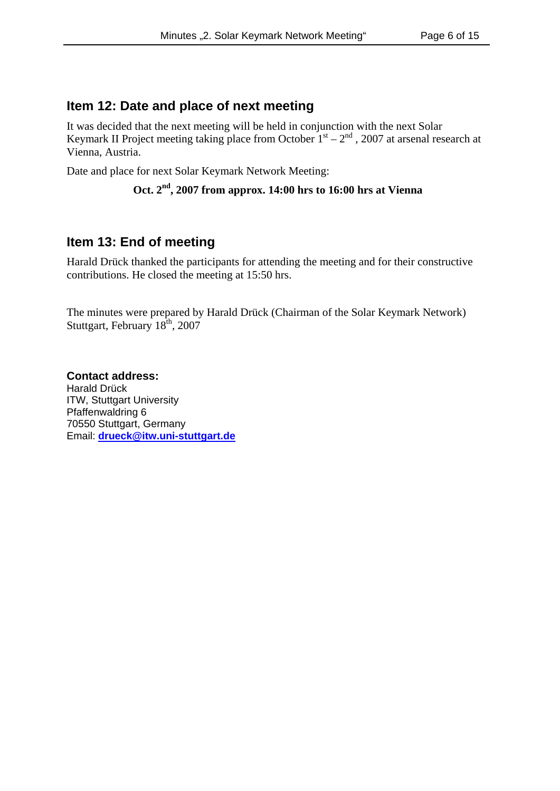#### **Item 12: Date and place of next meeting**

It was decided that the next meeting will be held in conjunction with the next Solar Keymark II Project meeting taking place from October  $1<sup>st</sup> - 2<sup>nd</sup>$ , 2007 at arsenal research at Vienna, Austria.

Date and place for next Solar Keymark Network Meeting:

```
Oct. 2nd, 2007 from approx. 14:00 hrs to 16:00 hrs at Vienna
```
### **Item 13: End of meeting**

Harald Drück thanked the participants for attending the meeting and for their constructive contributions. He closed the meeting at 15:50 hrs.

The minutes were prepared by Harald Drück (Chairman of the Solar Keymark Network) Stuttgart, February  $18<sup>th</sup>$ , 2007

**Contact address:** Harald Drück ITW, Stuttgart University Pfaffenwaldring 6 70550 Stuttgart, Germany Email: **drueck@itw.uni-stuttgart.de**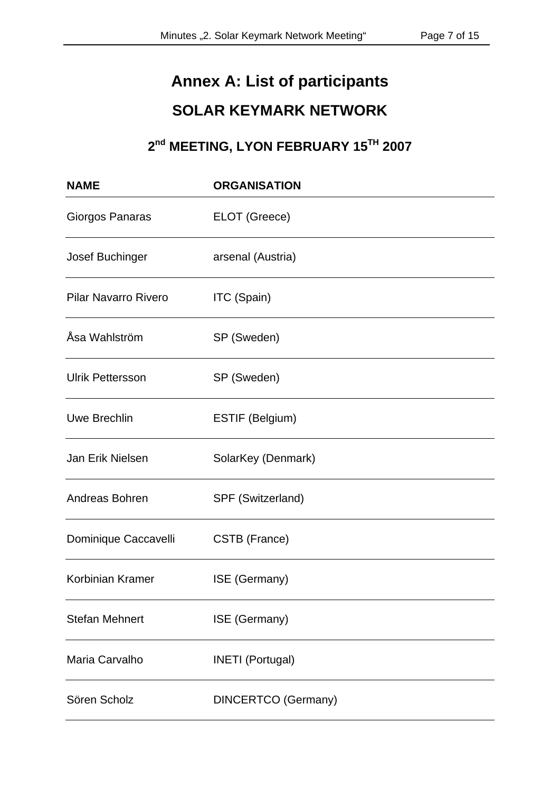# **Annex A: List of participants SOLAR KEYMARK NETWORK**

# **2nd MEETING, LYON FEBRUARY 15TH 2007**

| <b>NAME</b>                 | <b>ORGANISATION</b>        |
|-----------------------------|----------------------------|
| Giorgos Panaras             | ELOT (Greece)              |
| Josef Buchinger             | arsenal (Austria)          |
| <b>Pilar Navarro Rivero</b> | ITC (Spain)                |
| Åsa Wahlström               | SP (Sweden)                |
| <b>Ulrik Pettersson</b>     | SP (Sweden)                |
| <b>Uwe Brechlin</b>         | ESTIF (Belgium)            |
| Jan Erik Nielsen            | SolarKey (Denmark)         |
| Andreas Bohren              | SPF (Switzerland)          |
| Dominique Caccavelli        | CSTB (France)              |
| Korbinian Kramer            | ISE (Germany)              |
| <b>Stefan Mehnert</b>       | ISE (Germany)              |
| Maria Carvalho              | <b>INETI</b> (Portugal)    |
| Sören Scholz                | <b>DINCERTCO (Germany)</b> |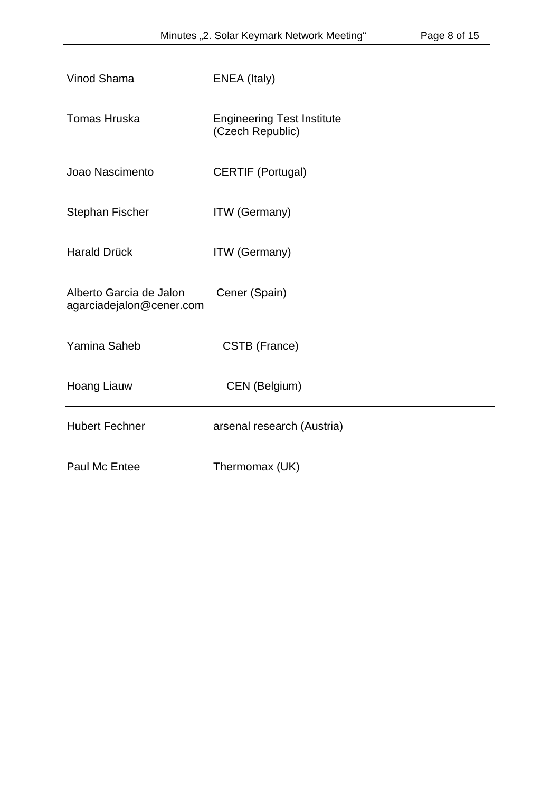| Vinod Shama                                         | ENEA (Italy)                                          |
|-----------------------------------------------------|-------------------------------------------------------|
| <b>Tomas Hruska</b>                                 | <b>Engineering Test Institute</b><br>(Czech Republic) |
| Joao Nascimento                                     | <b>CERTIF (Portugal)</b>                              |
| <b>Stephan Fischer</b>                              | <b>ITW</b> (Germany)                                  |
| <b>Harald Drück</b>                                 | <b>ITW</b> (Germany)                                  |
| Alberto Garcia de Jalon<br>agarciadejalon@cener.com | Cener (Spain)                                         |
| Yamina Saheb                                        | CSTB (France)                                         |
| <b>Hoang Liauw</b>                                  | CEN (Belgium)                                         |
| <b>Hubert Fechner</b>                               | arsenal research (Austria)                            |
| Paul Mc Entee                                       | Thermomax (UK)                                        |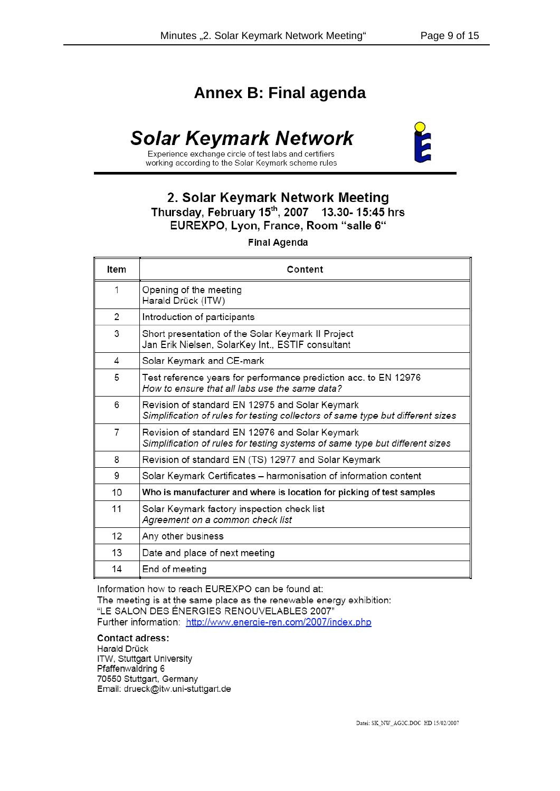# **Annex B: Final agenda**

# **Solar Keymark Network**



Experience exchange circle of test labs and certifiers working according to the Solar Keymark scheme rules

#### 2. Solar Keymark Network Meeting Thursday, February 15<sup>th</sup>, 2007 13.30-15:45 hrs EUREXPO, Lyon, France, Room "salle 6"

**Final Agenda** 

| Item | Content                                                                                                                            |
|------|------------------------------------------------------------------------------------------------------------------------------------|
| 1    | Opening of the meeting<br>Harald Drück (ITW)                                                                                       |
| 2    | Introduction of participants                                                                                                       |
| 3    | Short presentation of the Solar Keymark II Project<br>Jan Erik Nielsen, SolarKey Int., ESTIF consultant                            |
| 4    | Solar Keymark and CE-mark                                                                                                          |
| 5    | Test reference years for performance prediction acc. to EN 12976<br>How to ensure that all labs use the same data?                 |
| 6    | Revision of standard EN 12975 and Solar Keymark<br>Simplification of rules for testing collectors of same type but different sizes |
| 7    | Revision of standard EN 12976 and Solar Keymark<br>Simplification of rules for testing systems of same type but different sizes    |
| 8    | Revision of standard EN (TS) 12977 and Solar Keymark                                                                               |
| 9    | Solar Keymark Certificates - harmonisation of information content                                                                  |
| 10   | Who is manufacturer and where is location for picking of test samples                                                              |
| 11   | Solar Keymark factory inspection check list<br>Agreement on a common check list                                                    |
| 12   | Any other business                                                                                                                 |
| 13   | Date and place of next meeting                                                                                                     |
| 14   | End of meeting                                                                                                                     |

Information how to reach EUREXPO can be found at: The meeting is at the same place as the renewable energy exhibition: "LE SALON DES ÉNERGIES RENOUVELABLES 2007" Further information: http://www.energie-ren.com/2007/index.php

#### **Contact adress:**

Harald Drück ITW, Stuttgart University Pfaffenwaldring 6 70550 Stuttgart, Germany Email: drueck@itw.uni-stuttgart.de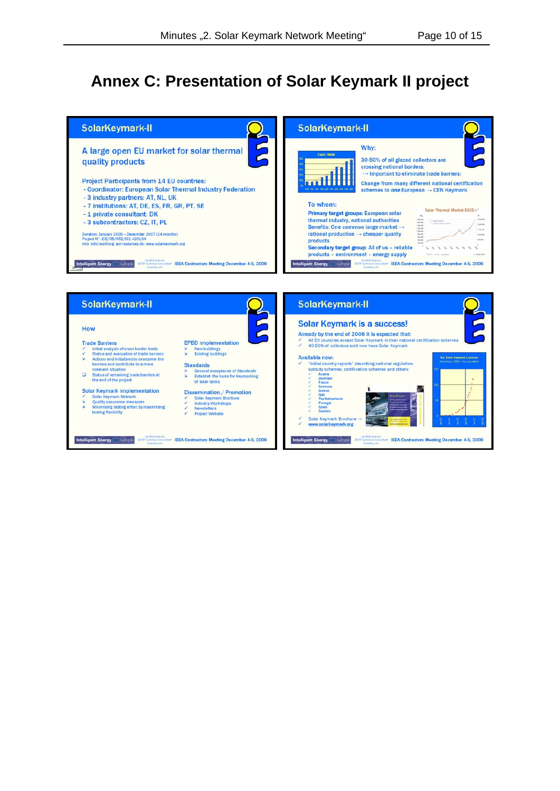# **Annex C: Presentation of Solar Keymark II project**



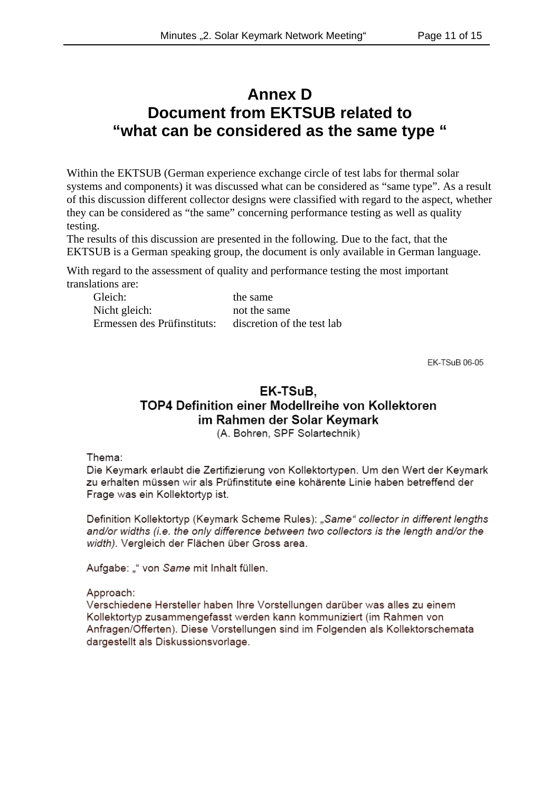# **Annex D Document from EKTSUB related to "what can be considered as the same type "**

Within the EKTSUB (German experience exchange circle of test labs for thermal solar systems and components) it was discussed what can be considered as "same type". As a result of this discussion different collector designs were classified with regard to the aspect, whether they can be considered as "the same" concerning performance testing as well as quality testing.

The results of this discussion are presented in the following. Due to the fact, that the EKTSUB is a German speaking group, the document is only available in German language.

With regard to the assessment of quality and performance testing the most important translations are:

Gleich: the same the same Nicht gleich: not the same Ermessen des Prüfinstituts: discretion of the test lab

EK-TSuB 06-05

# EK-TSuB. TOP4 Definition einer Modellreihe von Kollektoren im Rahmen der Solar Keymark

(A. Bohren, SPF Solartechnik)

Thema:

Die Keymark erlaubt die Zertifizierung von Kollektortypen. Um den Wert der Keymark zu erhalten müssen wir als Prüfinstitute eine kohärente Linie haben betreffend der Frage was ein Kollektortyp ist.

Definition Kollektortyp (Keymark Scheme Rules): "Same" collector in different lengths and/or widths (i.e. the only difference between two collectors is the length and/or the width). Vergleich der Flächen über Gross area.

Aufgabe: "" von Same mit Inhalt füllen.

Approach:

Verschiedene Hersteller haben Ihre Vorstellungen darüber was alles zu einem Kollektortyp zusammengefasst werden kann kommuniziert (im Rahmen von Anfragen/Offerten). Diese Vorstellungen sind im Folgenden als Kollektorschemata dargestellt als Diskussionsvorlage.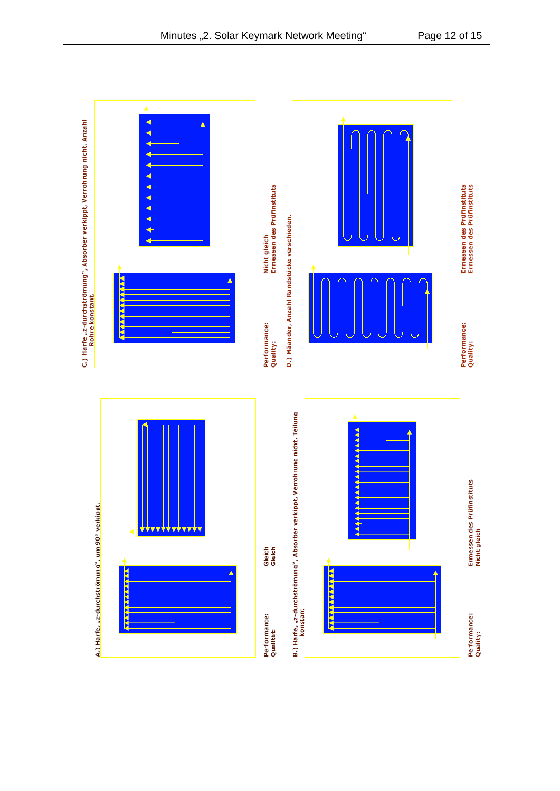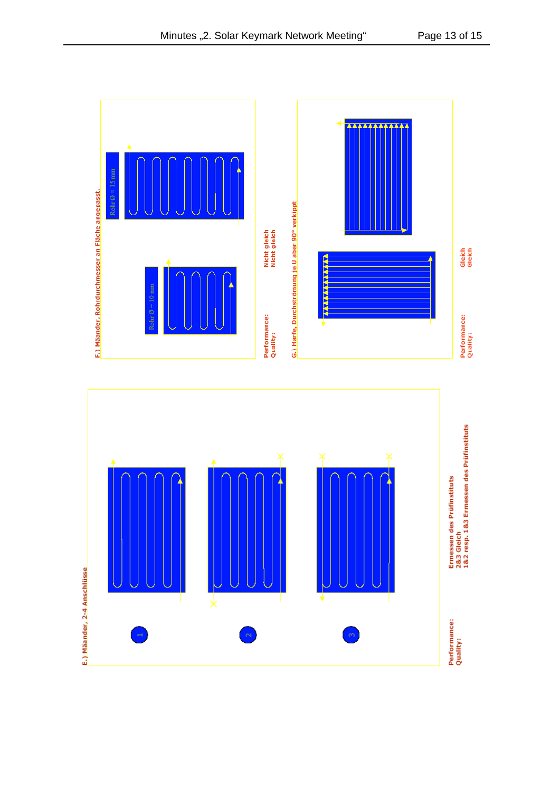

Minutes "2. Solar Keymark Network Meeting" Page 13 of 15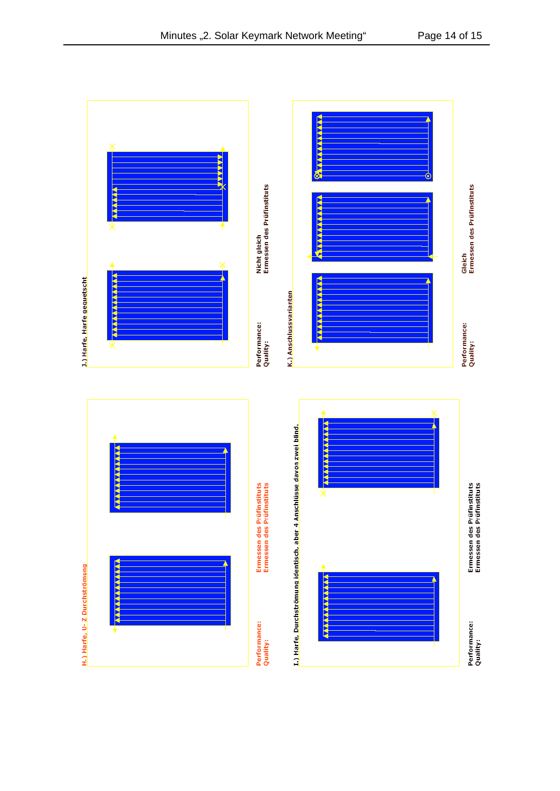